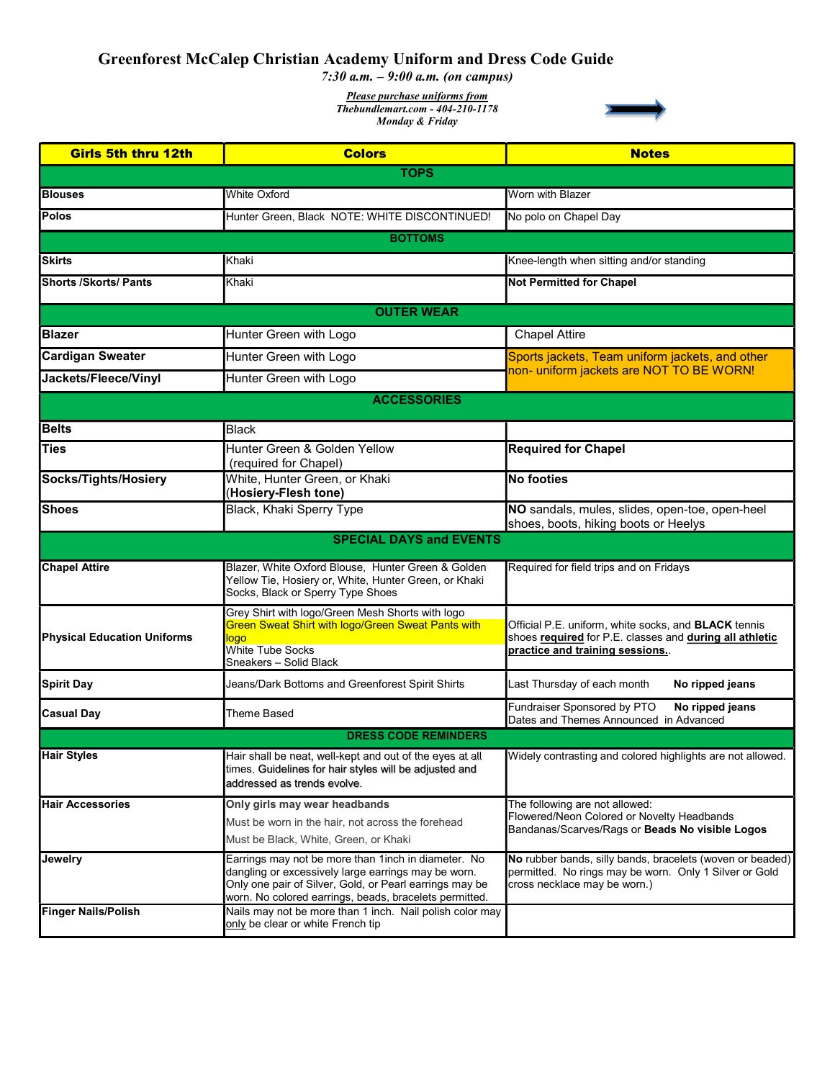## Greenforest McCalep Christian Academy Uniform and Dress Code Guide

7:30 a.m.  $-9:00$  a.m. (on campus)

Please purchase uniforms from Thebundlemart.com - 404-210-1178 Monday & Friday



| <b>Girls 5th thru 12th</b>         | <b>Colors</b>                                                                                                                                                                                                                    | <b>Notes</b>                                                                                                                                             |
|------------------------------------|----------------------------------------------------------------------------------------------------------------------------------------------------------------------------------------------------------------------------------|----------------------------------------------------------------------------------------------------------------------------------------------------------|
| <b>TOPS</b>                        |                                                                                                                                                                                                                                  |                                                                                                                                                          |
| <b>Blouses</b>                     | <b>White Oxford</b>                                                                                                                                                                                                              | Worn with Blazer                                                                                                                                         |
| <b>Polos</b>                       | Hunter Green, Black NOTE: WHITE DISCONTINUED!                                                                                                                                                                                    | No polo on Chapel Day                                                                                                                                    |
|                                    | <b>BOTTOMS</b>                                                                                                                                                                                                                   |                                                                                                                                                          |
| <b>Skirts</b>                      | Khaki                                                                                                                                                                                                                            | Knee-length when sitting and/or standing                                                                                                                 |
| <b>Shorts /Skorts/ Pants</b>       | Khaki                                                                                                                                                                                                                            | <b>Not Permitted for Chapel</b>                                                                                                                          |
|                                    | <b>OUTER WEAR</b>                                                                                                                                                                                                                |                                                                                                                                                          |
| <b>Blazer</b>                      | Hunter Green with Logo                                                                                                                                                                                                           | <b>Chapel Attire</b>                                                                                                                                     |
| <b>Cardigan Sweater</b>            | Hunter Green with Logo                                                                                                                                                                                                           | Sports jackets, Team uniform jackets, and other<br>non- uniform jackets are NOT TO BE WORN!                                                              |
| Jackets/Fleece/Vinyl               | Hunter Green with Logo                                                                                                                                                                                                           |                                                                                                                                                          |
|                                    | <b>ACCESSORIES</b>                                                                                                                                                                                                               |                                                                                                                                                          |
| <b>Belts</b>                       | <b>Black</b>                                                                                                                                                                                                                     |                                                                                                                                                          |
| <b>Ties</b>                        | Hunter Green & Golden Yellow                                                                                                                                                                                                     | <b>Required for Chapel</b>                                                                                                                               |
| Socks/Tights/Hosiery               | (required for Chapel)<br>White, Hunter Green, or Khaki                                                                                                                                                                           | No footies                                                                                                                                               |
|                                    | (Hosiery-Flesh tone)                                                                                                                                                                                                             |                                                                                                                                                          |
| <b>Shoes</b>                       | Black, Khaki Sperry Type                                                                                                                                                                                                         | NO sandals, mules, slides, open-toe, open-heel<br>shoes, boots, hiking boots or Heelys                                                                   |
|                                    | <b>SPECIAL DAYS and EVENTS</b>                                                                                                                                                                                                   |                                                                                                                                                          |
| <b>Chapel Attire</b>               | Blazer, White Oxford Blouse, Hunter Green & Golden<br>Yellow Tie, Hosiery or, White, Hunter Green, or Khaki<br>Socks, Black or Sperry Type Shoes                                                                                 | Required for field trips and on Fridays                                                                                                                  |
| <b>Physical Education Uniforms</b> | Grey Shirt with logo/Green Mesh Shorts with logo<br>Green Sweat Shirt with logo/Green Sweat Pants with<br>logo<br><b>White Tube Socks</b><br>Sneakers – Solid Black                                                              | Official P.E. uniform, white socks, and <b>BLACK</b> tennis<br>shoes required for P.E. classes and during all athletic<br>practice and training sessions |
| <b>Spirit Day</b>                  | Jeans/Dark Bottoms and Greenforest Spirit Shirts                                                                                                                                                                                 | Last Thursday of each month<br>No ripped jeans                                                                                                           |
| <b>Casual Day</b>                  | <b>Theme Based</b>                                                                                                                                                                                                               | Fundraiser Sponsored by PTO<br>No ripped jeans<br>Dates and Themes Announced in Advanced                                                                 |
|                                    | <b>DRESS CODE REMINDERS</b>                                                                                                                                                                                                      |                                                                                                                                                          |
| <b>Hair Styles</b>                 | Hair shall be neat, well-kept and out of the eyes at all<br>times. Guidelines for hair styles will be adjusted and<br>addressed as trends evolve.                                                                                | Widely contrasting and colored highlights are not allowed.                                                                                               |
| <b>Hair Accessories</b>            | Only girls may wear headbands<br>Must be worn in the hair, not across the forehead<br>Must be Black, White, Green, or Khaki                                                                                                      | The following are not allowed:<br>Flowered/Neon Colored or Novelty Headbands<br>Bandanas/Scarves/Rags or Beads No visible Logos                          |
| Jewelry                            | Earrings may not be more than 1 inch in diameter. No<br>dangling or excessively large earrings may be worn.<br>Only one pair of Silver, Gold, or Pearl earrings may be<br>worn. No colored earrings, beads, bracelets permitted. | No rubber bands, silly bands, bracelets (woven or beaded)<br>permitted. No rings may be worn. Only 1 Silver or Gold<br>cross necklace may be worn.)      |
| <b>Finger Nails/Polish</b>         | Nails may not be more than 1 inch. Nail polish color may<br>only be clear or white French tip                                                                                                                                    |                                                                                                                                                          |